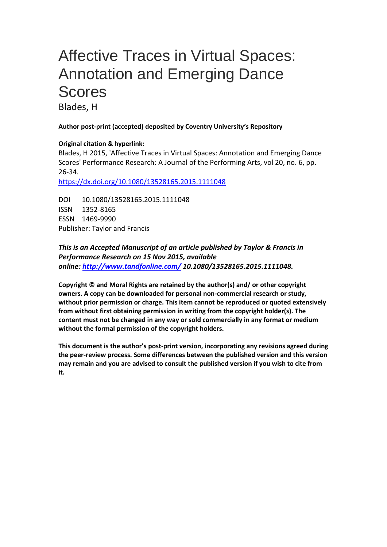# Affective Traces in Virtual Spaces: Annotation and Emerging Dance Scores

Blades, H

#### **Author post-print (accepted) deposited by Coventry University's Repository**

#### **Original citation & hyperlink:**

Blades, H 2015, 'Affective Traces in Virtual Spaces: Annotation and Emerging Dance Scores' Performance Research: A Journal of the Performing Arts, vol 20, no. 6, pp. 26-34.

<https://dx.doi.org/10.1080/13528165.2015.1111048>

DOI 10.1080/13528165.2015.1111048 ISSN 1352-8165 ESSN 1469-9990 Publisher: Taylor and Francis

#### *This is an Accepted Manuscript of an article published by Taylor & Francis in Performance Research on 15 Nov 2015, available online: <http://www.tandfonline.com/> 10.1080/13528165.2015.1111048.*

**Copyright © and Moral Rights are retained by the author(s) and/ or other copyright owners. A copy can be downloaded for personal non-commercial research or study, without prior permission or charge. This item cannot be reproduced or quoted extensively from without first obtaining permission in writing from the copyright holder(s). The content must not be changed in any way or sold commercially in any format or medium without the formal permission of the copyright holders.** 

**This document is the author's post-print version, incorporating any revisions agreed during the peer-review process. Some differences between the published version and this version may remain and you are advised to consult the published version if you wish to cite from it.**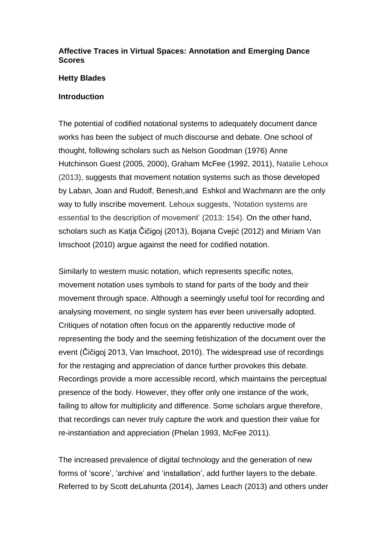## **Affective Traces in Virtual Spaces: Annotation and Emerging Dance Scores**

#### **Hetty Blades**

#### **Introduction**

The potential of codified notational systems to adequately document dance works has been the subject of much discourse and debate. One school of thought, following scholars such as Nelson Goodman (1976) Anne Hutchinson Guest (2005, 2000), Graham McFee (1992, 2011), Natalie Lehoux (2013), suggests that movement notation systems such as those developed by Laban, Joan and Rudolf, Benesh,and Eshkol and Wachmann are the only way to fully inscribe movement. Lehoux suggests, 'Notation systems are essential to the description of movement' (2013: 154). On the other hand, scholars such as Katja Čičigoj (2013), Bojana Cvejić (2012) and Miriam Van Imschoot (2010) argue against the need for codified notation.

Similarly to western music notation, which represents specific notes, movement notation uses symbols to stand for parts of the body and their movement through space. Although a seemingly useful tool for recording and analysing movement, no single system has ever been universally adopted. Critiques of notation often focus on the apparently reductive mode of representing the body and the seeming fetishization of the document over the event (Čičigoj 2013, Van Imschoot, 2010). The widespread use of recordings for the restaging and appreciation of dance further provokes this debate. Recordings provide a more accessible record, which maintains the perceptual presence of the body. However, they offer only one instance of the work, failing to allow for multiplicity and difference. Some scholars argue therefore, that recordings can never truly capture the work and question their value for re-instantiation and appreciation (Phelan 1993, McFee 2011).

The increased prevalence of digital technology and the generation of new forms of 'score', 'archive' and 'installation', add further layers to the debate. Referred to by Scott deLahunta (2014), James Leach (2013) and others under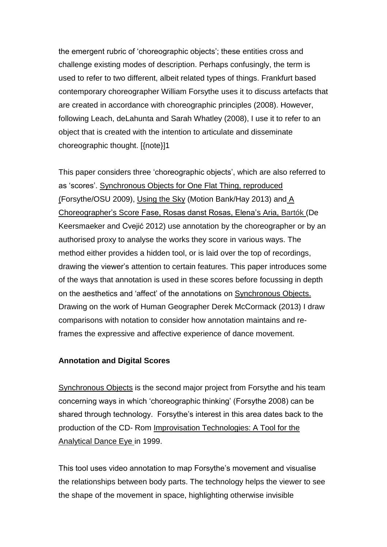the emergent rubric of 'choreographic objects'; these entities cross and challenge existing modes of description. Perhaps confusingly, the term is used to refer to two different, albeit related types of things. Frankfurt based contemporary choreographer William Forsythe uses it to discuss artefacts that are created in accordance with choreographic principles (2008). However, following Leach, deLahunta and Sarah Whatley (2008), I use it to refer to an object that is created with the intention to articulate and disseminate choreographic thought. [{note}]1

This paper considers three 'choreographic objects', which are also referred to as 'scores'. Synchronous Objects for One Flat Thing, reproduced (Forsythe/OSU 2009), Using the Sky (Motion Bank/Hay 2013) and A Choreographer's Score Fase, Rosas danst Rosas, Elena's Aria, Bartók (De Keersmaeker and Cvejić 2012) use annotation by the choreographer or by an authorised proxy to analyse the works they score in various ways. The method either provides a hidden tool, or is laid over the top of recordings, drawing the viewer's attention to certain features. This paper introduces some of the ways that annotation is used in these scores before focussing in depth on the aesthetics and 'affect' of the annotations on Synchronous Objects. Drawing on the work of Human Geographer Derek McCormack (2013) I draw comparisons with notation to consider how annotation maintains and reframes the expressive and affective experience of dance movement.

### **Annotation and Digital Scores**

Synchronous Objects is the second major project from Forsythe and his team concerning ways in which 'choreographic thinking' (Forsythe 2008) can be shared through technology. Forsythe's interest in this area dates back to the production of the CD- Rom Improvisation Technologies: A Tool for the Analytical Dance Eye in 1999.

This tool uses video annotation to map Forsythe's movement and visualise the relationships between body parts. The technology helps the viewer to see the shape of the movement in space, highlighting otherwise invisible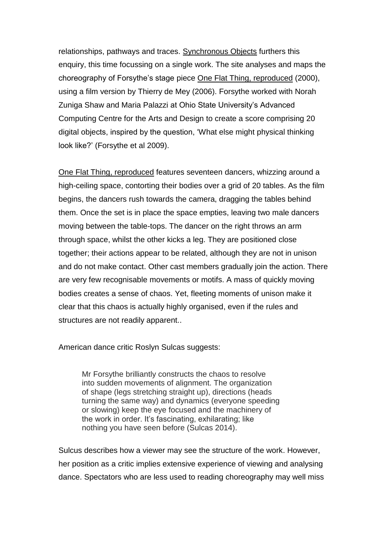relationships, pathways and traces. Synchronous Objects furthers this enquiry, this time focussing on a single work. The site analyses and maps the choreography of Forsythe's stage piece One Flat Thing, reproduced (2000), using a film version by Thierry de Mey (2006). Forsythe worked with Norah Zuniga Shaw and Maria Palazzi at Ohio State University's Advanced Computing Centre for the Arts and Design to create a score comprising 20 digital objects, inspired by the question, 'What else might physical thinking look like?' (Forsythe et al 2009).

One Flat Thing, reproduced features seventeen dancers, whizzing around a high-ceiling space, contorting their bodies over a grid of 20 tables. As the film begins, the dancers rush towards the camera, dragging the tables behind them. Once the set is in place the space empties, leaving two male dancers moving between the table-tops. The dancer on the right throws an arm through space, whilst the other kicks a leg. They are positioned close together; their actions appear to be related, although they are not in unison and do not make contact. Other cast members gradually join the action. There are very few recognisable movements or motifs. A mass of quickly moving bodies creates a sense of chaos. Yet, fleeting moments of unison make it clear that this chaos is actually highly organised, even if the rules and structures are not readily apparent..

American dance critic Roslyn Sulcas suggests:

Mr Forsythe brilliantly constructs the chaos to resolve into sudden movements of alignment. The organization of shape (legs stretching straight up), directions (heads turning the same way) and dynamics (everyone speeding or slowing) keep the eye focused and the machinery of the work in order. It's fascinating, exhilarating; like nothing you have seen before (Sulcas 2014).

Sulcus describes how a viewer may see the structure of the work. However, her position as a critic implies extensive experience of viewing and analysing dance. Spectators who are less used to reading choreography may well miss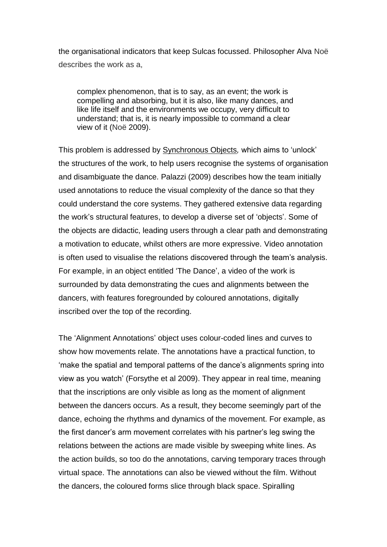the organisational indicators that keep Sulcas focussed. Philosopher Alva Noë describes the work as a,

complex phenomenon, that is to say, as an event; the work is compelling and absorbing, but it is also, like many dances, and like life itself and the environments we occupy, very difficult to understand; that is, it is nearly impossible to command a clear view of it (Noë 2009).

This problem is addressed by Synchronous Objects*,* which aims to 'unlock' the structures of the work, to help users recognise the systems of organisation and disambiguate the dance. Palazzi (2009) describes how the team initially used annotations to reduce the visual complexity of the dance so that they could understand the core systems. They gathered extensive data regarding the work's structural features, to develop a diverse set of 'objects'. Some of the objects are didactic, leading users through a clear path and demonstrating a motivation to educate, whilst others are more expressive. Video annotation is often used to visualise the relations discovered through the team's analysis. For example, in an object entitled 'The Dance', a video of the work is surrounded by data demonstrating the cues and alignments between the dancers, with features foregrounded by coloured annotations, digitally inscribed over the top of the recording.

The 'Alignment Annotations' object uses colour-coded lines and curves to show how movements relate. The annotations have a practical function, to 'make the spatial and temporal patterns of the dance's alignments spring into view as you watch' (Forsythe et al 2009). They appear in real time, meaning that the inscriptions are only visible as long as the moment of alignment between the dancers occurs. As a result, they become seemingly part of the dance, echoing the rhythms and dynamics of the movement. For example, as the first dancer's arm movement correlates with his partner's leg swing the relations between the actions are made visible by sweeping white lines. As the action builds, so too do the annotations, carving temporary traces through virtual space. The annotations can also be viewed without the film. Without the dancers, the coloured forms slice through black space. Spiralling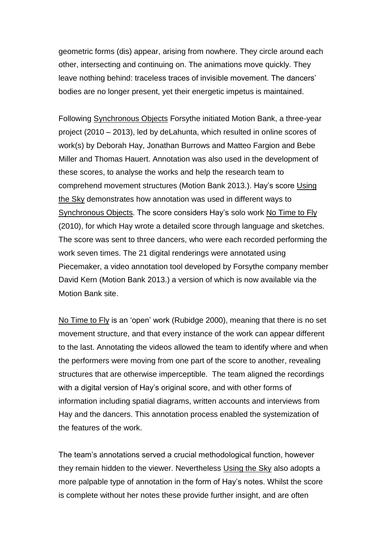geometric forms (dis) appear, arising from nowhere. They circle around each other, intersecting and continuing on. The animations move quickly. They leave nothing behind: traceless traces of invisible movement. The dancers' bodies are no longer present, yet their energetic impetus is maintained.

Following Synchronous Objects Forsythe initiated Motion Bank, a three-year project (2010 – 2013), led by deLahunta, which resulted in online scores of work(s) by Deborah Hay, Jonathan Burrows and Matteo Fargion and Bebe Miller and Thomas Hauert. Annotation was also used in the development of these scores, to analyse the works and help the research team to comprehend movement structures (Motion Bank 2013.). Hay's score Using the Sky demonstrates how annotation was used in different ways to Synchronous Objects. The score considers Hay's solo work No Time to Fly (2010), for which Hay wrote a detailed score through language and sketches. The score was sent to three dancers, who were each recorded performing the work seven times. The 21 digital renderings were annotated using Piecemaker, a video annotation tool developed by Forsythe company member David Kern (Motion Bank 2013.) a version of which is now available via the Motion Bank site.

No Time to Fly is an 'open' work (Rubidge 2000), meaning that there is no set movement structure, and that every instance of the work can appear different to the last. Annotating the videos allowed the team to identify where and when the performers were moving from one part of the score to another, revealing structures that are otherwise imperceptible. The team aligned the recordings with a digital version of Hay's original score, and with other forms of information including spatial diagrams, written accounts and interviews from Hay and the dancers. This annotation process enabled the systemization of the features of the work.

The team's annotations served a crucial methodological function, however they remain hidden to the viewer. Nevertheless Using the Sky also adopts a more palpable type of annotation in the form of Hay's notes. Whilst the score is complete without her notes these provide further insight, and are often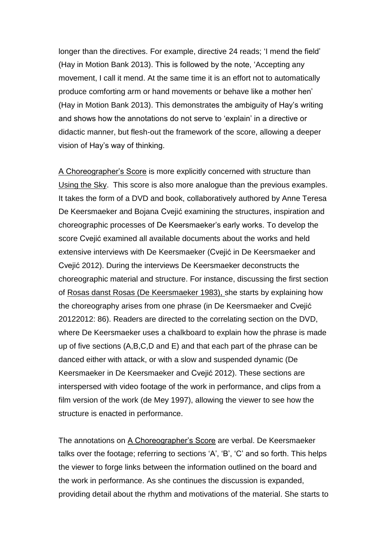longer than the directives. For example, directive 24 reads; 'I mend the field' (Hay in Motion Bank 2013). This is followed by the note, 'Accepting any movement, I call it mend. At the same time it is an effort not to automatically produce comforting arm or hand movements or behave like a mother hen' (Hay in Motion Bank 2013). This demonstrates the ambiguity of Hay's writing and shows how the annotations do not serve to 'explain' in a directive or didactic manner, but flesh-out the framework of the score, allowing a deeper vision of Hay's way of thinking.

A Choreographer's Score is more explicitly concerned with structure than Using the Sky. This score is also more analogue than the previous examples. It takes the form of a DVD and book, collaboratively authored by Anne Teresa De Keersmaeker and Bojana Cvejić examining the structures, inspiration and choreographic processes of De Keersmaeker's early works. To develop the score Cvejić examined all available documents about the works and held extensive interviews with De Keersmaeker (Cvejić in De Keersmaeker and Cvejić 2012). During the interviews De Keersmaeker deconstructs the choreographic material and structure. For instance, discussing the first section of Rosas danst Rosas (De Keersmaeker 1983), she starts by explaining how the choreography arises from one phrase (in De Keersmaeker and Cvejić 20122012: 86). Readers are directed to the correlating section on the DVD, where De Keersmaeker uses a chalkboard to explain how the phrase is made up of five sections (A,B,C,D and E) and that each part of the phrase can be danced either with attack, or with a slow and suspended dynamic (De Keersmaeker in De Keersmaeker and Cvejić 2012). These sections are interspersed with video footage of the work in performance, and clips from a film version of the work (de Mey 1997), allowing the viewer to see how the structure is enacted in performance.

The annotations on A Choreographer's Score are verbal. De Keersmaeker talks over the footage; referring to sections 'A', 'B', 'C' and so forth. This helps the viewer to forge links between the information outlined on the board and the work in performance. As she continues the discussion is expanded, providing detail about the rhythm and motivations of the material. She starts to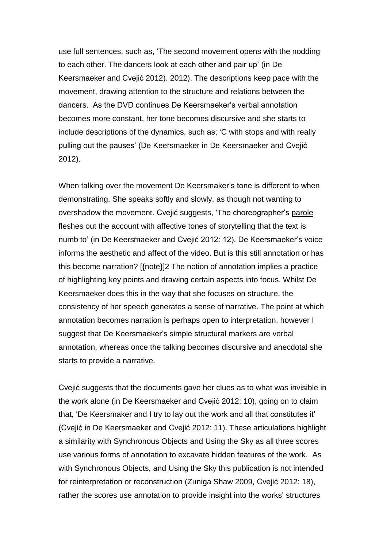use full sentences, such as, 'The second movement opens with the nodding to each other. The dancers look at each other and pair up' (in De Keersmaeker and Cvejić 2012). 2012). The descriptions keep pace with the movement, drawing attention to the structure and relations between the dancers. As the DVD continues De Keersmaeker's verbal annotation becomes more constant, her tone becomes discursive and she starts to include descriptions of the dynamics, such as; 'C with stops and with really pulling out the pauses' (De Keersmaeker in De Keersmaeker and Cvejić 2012).

When talking over the movement De Keersmaker's tone is different to when demonstrating. She speaks softly and slowly, as though not wanting to overshadow the movement. Cvejić suggests, 'The choreographer's parole fleshes out the account with affective tones of storytelling that the text is numb to' (in De Keersmaeker and Cvejić 2012: 12). De Keersmaeker's voice informs the aesthetic and affect of the video. But is this still annotation or has this become narration? [{note}]2 The notion of annotation implies a practice of highlighting key points and drawing certain aspects into focus. Whilst De Keersmaeker does this in the way that she focuses on structure, the consistency of her speech generates a sense of narrative. The point at which annotation becomes narration is perhaps open to interpretation, however I suggest that De Keersmaeker's simple structural markers are verbal annotation, whereas once the talking becomes discursive and anecdotal she starts to provide a narrative.

Cvejić suggests that the documents gave her clues as to what was invisible in the work alone (in De Keersmaeker and Cvejić 2012: 10), going on to claim that, 'De Keersmaker and I try to lay out the work and all that constitutes it' (Cvejić in De Keersmaeker and Cvejić 2012: 11). These articulations highlight a similarity with Synchronous Objects and Using the Sky as all three scores use various forms of annotation to excavate hidden features of the work. As with Synchronous Objects, and Using the Sky this publication is not intended for reinterpretation or reconstruction (Zuniga Shaw 2009, Cvejić 2012: 18), rather the scores use annotation to provide insight into the works' structures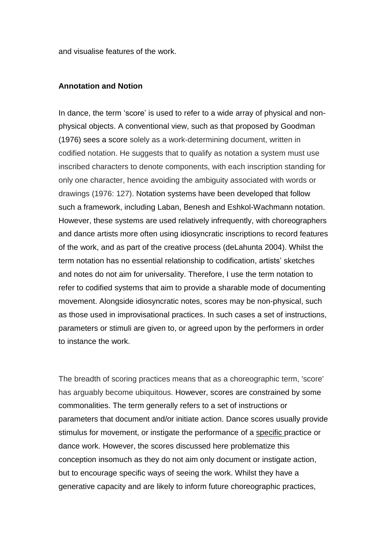and visualise features of the work.

#### **Annotation and Notion**

In dance, the term 'score' is used to refer to a wide array of physical and nonphysical objects. A conventional view, such as that proposed by Goodman (1976) sees a score solely as a work-determining document, written in codified notation. He suggests that to qualify as notation a system must use inscribed characters to denote components, with each inscription standing for only one character, hence avoiding the ambiguity associated with words or drawings (1976: 127). Notation systems have been developed that follow such a framework, including Laban, Benesh and Eshkol-Wachmann notation. However, these systems are used relatively infrequently, with choreographers and dance artists more often using idiosyncratic inscriptions to record features of the work, and as part of the creative process (deLahunta 2004). Whilst the term notation has no essential relationship to codification, artists' sketches and notes do not aim for universality. Therefore, I use the term notation to refer to codified systems that aim to provide a sharable mode of documenting movement. Alongside idiosyncratic notes, scores may be non-physical, such as those used in improvisational practices. In such cases a set of instructions, parameters or stimuli are given to, or agreed upon by the performers in order to instance the work.

The breadth of scoring practices means that as a choreographic term, 'score' has arguably become ubiquitous. However, scores are constrained by some commonalities. The term generally refers to a set of instructions or parameters that document and/or initiate action. Dance scores usually provide stimulus for movement, or instigate the performance of a specific practice or dance work. However, the scores discussed here problematize this conception insomuch as they do not aim only document or instigate action, but to encourage specific ways of seeing the work. Whilst they have a generative capacity and are likely to inform future choreographic practices,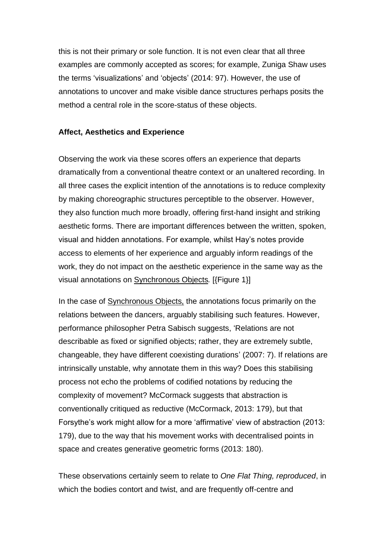this is not their primary or sole function. It is not even clear that all three examples are commonly accepted as scores; for example, Zuniga Shaw uses the terms 'visualizations' and 'objects' (2014: 97). However, the use of annotations to uncover and make visible dance structures perhaps posits the method a central role in the score-status of these objects.

#### **Affect, Aesthetics and Experience**

Observing the work via these scores offers an experience that departs dramatically from a conventional theatre context or an unaltered recording. In all three cases the explicit intention of the annotations is to reduce complexity by making choreographic structures perceptible to the observer. However, they also function much more broadly, offering first-hand insight and striking aesthetic forms. There are important differences between the written, spoken, visual and hidden annotations. For example, whilst Hay's notes provide access to elements of her experience and arguably inform readings of the work, they do not impact on the aesthetic experience in the same way as the visual annotations on Synchronous Objects*.* [{Figure 1}]

In the case of Synchronous Objects, the annotations focus primarily on the relations between the dancers, arguably stabilising such features. However, performance philosopher Petra Sabisch suggests, 'Relations are not describable as fixed or signified objects; rather, they are extremely subtle, changeable, they have different coexisting durations' (2007: 7). If relations are intrinsically unstable, why annotate them in this way? Does this stabilising process not echo the problems of codified notations by reducing the complexity of movement? McCormack suggests that abstraction is conventionally critiqued as reductive (McCormack, 2013: 179), but that Forsythe's work might allow for a more 'affirmative' view of abstraction (2013: 179), due to the way that his movement works with decentralised points in space and creates generative geometric forms (2013: 180).

These observations certainly seem to relate to *One Flat Thing, reproduced*, in which the bodies contort and twist, and are frequently off-centre and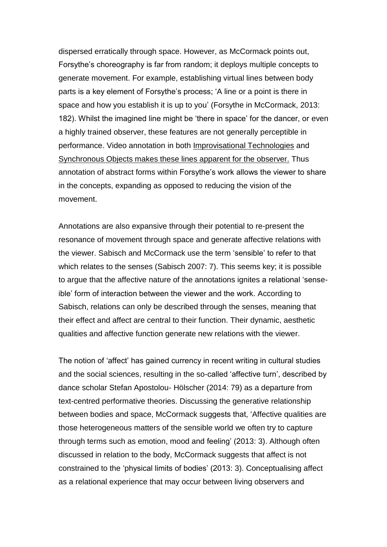dispersed erratically through space. However, as McCormack points out, Forsythe's choreography is far from random; it deploys multiple concepts to generate movement. For example, establishing virtual lines between body parts is a key element of Forsythe's process; 'A line or a point is there in space and how you establish it is up to you' (Forsythe in McCormack, 2013: 182). Whilst the imagined line might be 'there in space' for the dancer, or even a highly trained observer, these features are not generally perceptible in performance. Video annotation in both Improvisational Technologies and Synchronous Objects makes these lines apparent for the observer. Thus annotation of abstract forms within Forsythe's work allows the viewer to share in the concepts, expanding as opposed to reducing the vision of the movement.

Annotations are also expansive through their potential to re-present the resonance of movement through space and generate affective relations with the viewer. Sabisch and McCormack use the term 'sensible' to refer to that which relates to the senses (Sabisch 2007: 7). This seems key; it is possible to argue that the affective nature of the annotations ignites a relational 'senseible' form of interaction between the viewer and the work. According to Sabisch, relations can only be described through the senses, meaning that their effect and affect are central to their function. Their dynamic, aesthetic qualities and affective function generate new relations with the viewer.

The notion of 'affect' has gained currency in recent writing in cultural studies and the social sciences, resulting in the so-called 'affective turn', described by dance scholar Stefan Apostolou- Hölscher (2014: 79) as a departure from text-centred performative theories. Discussing the generative relationship between bodies and space, McCormack suggests that, 'Affective qualities are those heterogeneous matters of the sensible world we often try to capture through terms such as emotion, mood and feeling' (2013: 3). Although often discussed in relation to the body, McCormack suggests that affect is not constrained to the 'physical limits of bodies' (2013: 3). Conceptualising affect as a relational experience that may occur between living observers and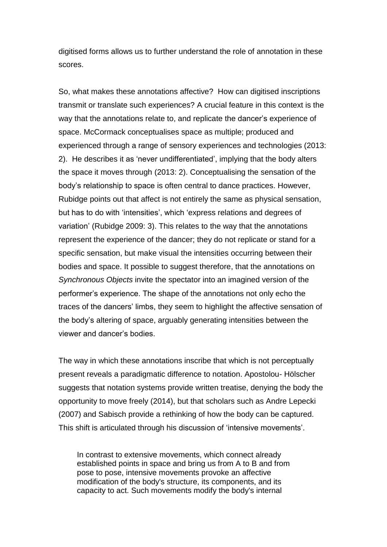digitised forms allows us to further understand the role of annotation in these scores.

So, what makes these annotations affective? How can digitised inscriptions transmit or translate such experiences? A crucial feature in this context is the way that the annotations relate to, and replicate the dancer's experience of space. McCormack conceptualises space as multiple; produced and experienced through a range of sensory experiences and technologies (2013: 2). He describes it as 'never undifferentiated', implying that the body alters the space it moves through (2013: 2). Conceptualising the sensation of the body's relationship to space is often central to dance practices. However, Rubidge points out that affect is not entirely the same as physical sensation, but has to do with 'intensities', which 'express relations and degrees of variation' (Rubidge 2009: 3). This relates to the way that the annotations represent the experience of the dancer; they do not replicate or stand for a specific sensation, but make visual the intensities occurring between their bodies and space. It possible to suggest therefore, that the annotations on *Synchronous Objects* invite the spectator into an imagined version of the performer's experience. The shape of the annotations not only echo the traces of the dancers' limbs, they seem to highlight the affective sensation of the body's altering of space, arguably generating intensities between the viewer and dancer's bodies.

The way in which these annotations inscribe that which is not perceptually present reveals a paradigmatic difference to notation. Apostolou- Hölscher suggests that notation systems provide written treatise, denying the body the opportunity to move freely (2014), but that scholars such as Andre Lepecki (2007) and Sabisch provide a rethinking of how the body can be captured. This shift is articulated through his discussion of 'intensive movements'.

In contrast to extensive movements, which connect already established points in space and bring us from A to B and from pose to pose, intensive movements provoke an affective modification of the body's structure, its components, and its capacity to act. Such movements modify the body's internal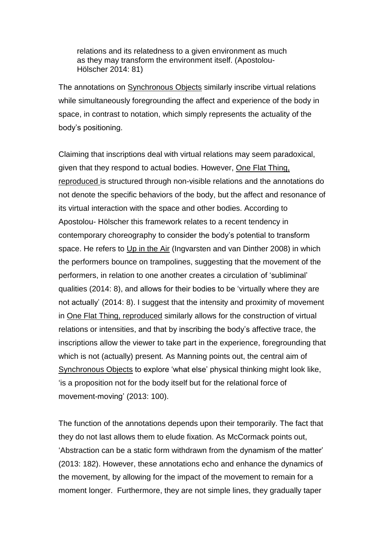relations and its relatedness to a given environment as much as they may transform the environment itself. (Apostolou-Hölscher 2014: 81)

The annotations on **Synchronous Objects** similarly inscribe virtual relations while simultaneously foregrounding the affect and experience of the body in space, in contrast to notation, which simply represents the actuality of the body's positioning.

Claiming that inscriptions deal with virtual relations may seem paradoxical, given that they respond to actual bodies. However, One Flat Thing, reproduced is structured through non-visible relations and the annotations do not denote the specific behaviors of the body, but the affect and resonance of its virtual interaction with the space and other bodies. According to Apostolou- Hölscher this framework relates to a recent tendency in contemporary choreography to consider the body's potential to transform space. He refers to Up in the Air (Ingvarsten and van Dinther 2008) in which the performers bounce on trampolines, suggesting that the movement of the performers, in relation to one another creates a circulation of 'subliminal' qualities (2014: 8), and allows for their bodies to be 'virtually where they are not actually' (2014: 8). I suggest that the intensity and proximity of movement in One Flat Thing, reproduced similarly allows for the construction of virtual relations or intensities, and that by inscribing the body's affective trace, the inscriptions allow the viewer to take part in the experience, foregrounding that which is not (actually) present. As Manning points out, the central aim of Synchronous Objects to explore 'what else' physical thinking might look like, 'is a proposition not for the body itself but for the relational force of movement-moving' (2013: 100).

The function of the annotations depends upon their temporarily. The fact that they do not last allows them to elude fixation. As McCormack points out, 'Abstraction can be a static form withdrawn from the dynamism of the matter' (2013: 182). However, these annotations echo and enhance the dynamics of the movement, by allowing for the impact of the movement to remain for a moment longer. Furthermore, they are not simple lines, they gradually taper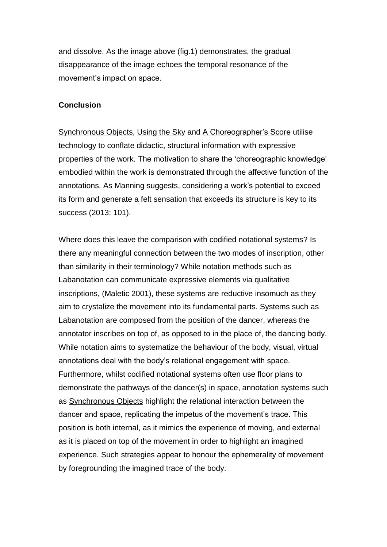and dissolve. As the image above (fig.1) demonstrates, the gradual disappearance of the image echoes the temporal resonance of the movement's impact on space.

#### **Conclusion**

Synchronous Objects, Using the Sky and A Choreographer's Score utilise technology to conflate didactic, structural information with expressive properties of the work. The motivation to share the 'choreographic knowledge' embodied within the work is demonstrated through the affective function of the annotations. As Manning suggests, considering a work's potential to exceed its form and generate a felt sensation that exceeds its structure is key to its success (2013: 101).

Where does this leave the comparison with codified notational systems? Is there any meaningful connection between the two modes of inscription, other than similarity in their terminology? While notation methods such as Labanotation can communicate expressive elements via qualitative inscriptions, (Maletic 2001), these systems are reductive insomuch as they aim to crystalize the movement into its fundamental parts. Systems such as Labanotation are composed from the position of the dancer, whereas the annotator inscribes on top of, as opposed to in the place of, the dancing body. While notation aims to systematize the behaviour of the body, visual, virtual annotations deal with the body's relational engagement with space. Furthermore, whilst codified notational systems often use floor plans to demonstrate the pathways of the dancer(s) in space, annotation systems such as Synchronous Objects highlight the relational interaction between the dancer and space, replicating the impetus of the movement's trace. This position is both internal, as it mimics the experience of moving, and external as it is placed on top of the movement in order to highlight an imagined experience. Such strategies appear to honour the ephemerality of movement by foregrounding the imagined trace of the body.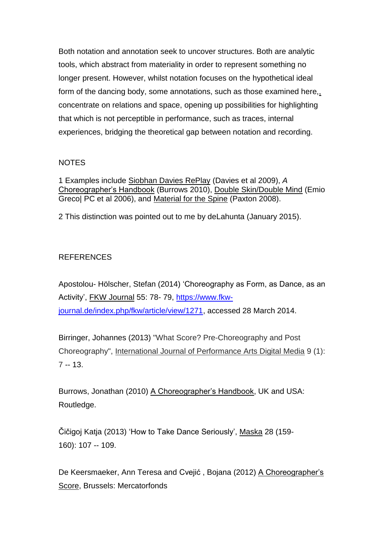Both notation and annotation seek to uncover structures. Both are analytic tools, which abstract from materiality in order to represent something no longer present. However, whilst notation focuses on the hypothetical ideal form of the dancing body, some annotations, such as those examined here,, concentrate on relations and space, opening up possibilities for highlighting that which is not perceptible in performance, such as traces, internal experiences, bridging the theoretical gap between notation and recording.

## NOTES

1 Examples include Siobhan Davies RePlay (Davies et al 2009), *A*  Choreographer's Handbook (Burrows 2010), Double Skin/Double Mind (Emio Greco| PC et al 2006), and Material for the Spine (Paxton 2008).

2 This distinction was pointed out to me by deLahunta (January 2015).

## **REFERENCES**

Apostolou- Hölscher, Stefan (2014) 'Choreography as Form, as Dance, as an Activity', FKW Journal 55: 78- 79, [https://www.fkw](https://www.fkw-journal.de/index.php/fkw/article/view/1271)[journal.de/index.php/fkw/article/view/1271,](https://www.fkw-journal.de/index.php/fkw/article/view/1271) accessed 28 March 2014.

Birringer, Johannes (2013) "What Score? Pre-Choreography and Post Choreography", International Journal of Performance Arts Digital Media 9 (1): 7 -- 13.

Burrows, Jonathan (2010) A Choreographer's Handbook, UK and USA: Routledge.

Čičigoj Katja (2013) 'How to Take Dance Seriously', Maska 28 (159- 160): 107 -- 109.

De Keersmaeker, Ann Teresa and Cvejić, Bojana (2012) A Choreographer's Score, Brussels: Mercatorfonds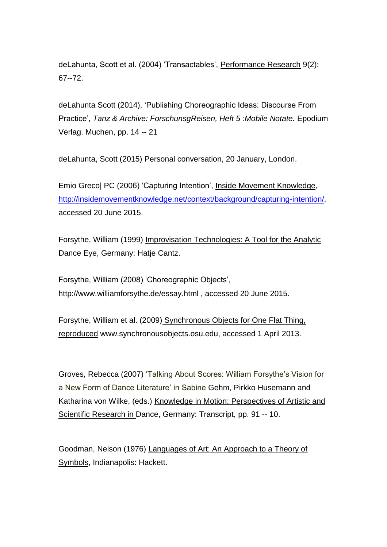deLahunta, Scott et al. (2004) 'Transactables', Performance Research 9(2): 67--72.

deLahunta Scott (2014), 'Publishing Choreographic Ideas: Discourse From Practice', *Tanz & Archive: ForschunsgReisen, Heft 5 :Mobile Notate.* Epodium Verlag. Muchen, pp. 14 -- 21

deLahunta, Scott (2015) Personal conversation, 20 January, London.

Emio Greco| PC (2006) 'Capturing Intention', Inside Movement Knowledge, [http://insidemovementknowledge.net/context/background/capturing-intention/,](http://insidemovementknowledge.net/context/background/capturing-intention/) accessed 20 June 2015.

Forsythe, William (1999) Improvisation Technologies: A Tool for the Analytic Dance Eye, Germany: Hatje Cantz.

Forsythe, William (2008) 'Choreographic Objects', http://www.williamforsythe.de/essay.html , accessed 20 June 2015.

Forsythe, William et al. (2009) Synchronous Objects for One Flat Thing, reproduced www.synchronousobjects.osu.edu, accessed 1 April 2013.

Groves, Rebecca (2007) 'Talking About Scores: William Forsythe's Vision for a New Form of Dance Literature' in Sabine Gehm, Pirkko Husemann and Katharina von Wilke, (eds.) Knowledge in Motion: Perspectives of Artistic and Scientific Research in Dance, Germany: Transcript, pp. 91 -- 10.

Goodman, Nelson (1976) Languages of Art: An Approach to a Theory of Symbols, Indianapolis: Hackett.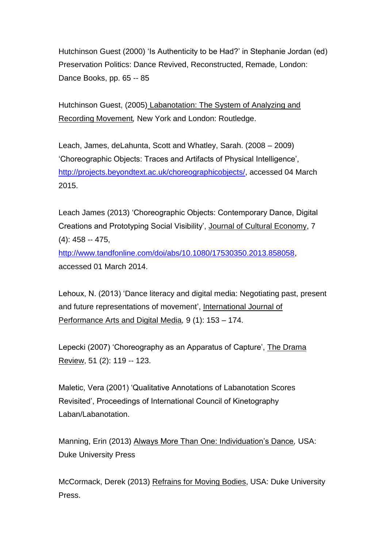Hutchinson Guest (2000) 'Is Authenticity to be Had?' in Stephanie Jordan (ed) Preservation Politics: Dance Revived, Reconstructed, Remade*,* London: Dance Books, pp. 65 -- 85

Hutchinson Guest, (2005) Labanotation: The System of Analyzing and Recording Movement*,* New York and London: Routledge.

Leach, James, deLahunta, Scott and Whatley, Sarah. (2008 – 2009) 'Choreographic Objects: Traces and Artifacts of Physical Intelligence', [http://projects.beyondtext.ac.uk/choreographicobjects/,](http://projects.beyondtext.ac.uk/choreographicobjects/) accessed 04 March 2015.

Leach James (2013) 'Choreographic Objects: Contemporary Dance, Digital Creations and Prototyping Social Visibility', Journal of Cultural Economy, 7 (4): 458 -- 475,

[http://www.tandfonline.com/doi/abs/10.1080/17530350.2013.858058,](http://www.tandfonline.com/doi/abs/10.1080/17530350.2013.858058) accessed 01 March 2014.

Lehoux, N. (2013) 'Dance literacy and digital media: Negotiating past, present and future representations of movement', International Journal of Performance Arts and Digital Media*,* 9 (1): 153 – 174.

Lepecki (2007) 'Choreography as an Apparatus of Capture', The Drama Review, 51 (2): 119 -- 123.

Maletic, Vera (2001) 'Qualitative Annotations of Labanotation Scores Revisited', Proceedings of International Council of Kinetography Laban/Labanotation.

Manning, Erin (2013) Always More Than One: Individuation's Dance*,* USA: Duke University Press

McCormack, Derek (2013) Refrains for Moving Bodies, USA: Duke University Press.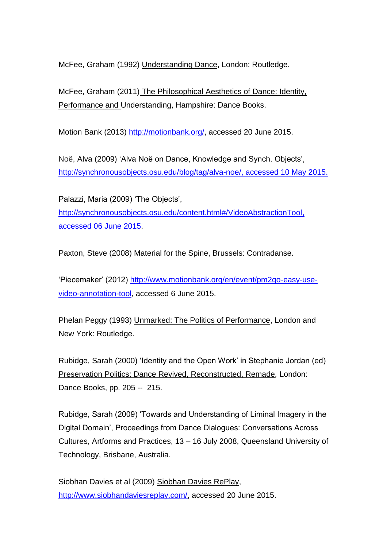McFee, Graham (1992) Understanding Dance, London: Routledge.

McFee, Graham (2011) The Philosophical Aesthetics of Dance: Identity, Performance and Understanding, Hampshire: Dance Books.

Motion Bank (2013) [http://motionbank.org/,](http://motionbank.org/) accessed 20 June 2015.

Noë, Alva (2009) 'Alva Noë on Dance, Knowledge and Synch. Objects', [http://synchronousobjects.osu.edu/blog/tag/alva-noe/,](http://synchronousobjects.osu.edu/blog/tag/alva-noe/) accessed 10 May 2015.

Palazzi, Maria (2009) 'The Objects', [http://synchronousobjects.osu.edu/content.html#/VideoAbstractionTool,](http://synchronousobjects.osu.edu/content.html#/VideoAbstractionTool) accessed 06 June 2015.

Paxton, Steve (2008) Material for the Spine, Brussels: Contradanse.

'Piecemaker' (2012) [http://www.motionbank.org/en/event/pm2go-easy-use](http://www.motionbank.org/en/event/pm2go-easy-use-video-annotation-tool)[video-annotation-tool,](http://www.motionbank.org/en/event/pm2go-easy-use-video-annotation-tool) accessed 6 June 2015.

Phelan Peggy (1993) Unmarked: The Politics of Performance, London and New York: Routledge.

Rubidge, Sarah (2000) 'Identity and the Open Work' in Stephanie Jordan (ed) Preservation Politics: Dance Revived, Reconstructed, Remade*,* London: Dance Books, pp. 205 -- 215.

Rubidge, Sarah (2009) 'Towards and Understanding of Liminal Imagery in the Digital Domain', Proceedings from Dance Dialogues: Conversations Across Cultures, Artforms and Practices, 13 – 16 July 2008, Queensland University of Technology, Brisbane, Australia.

Siobhan Davies et al (2009) Siobhan Davies RePlay, [http://www.siobhandaviesreplay.com/,](http://www.siobhandaviesreplay.com/) accessed 20 June 2015.